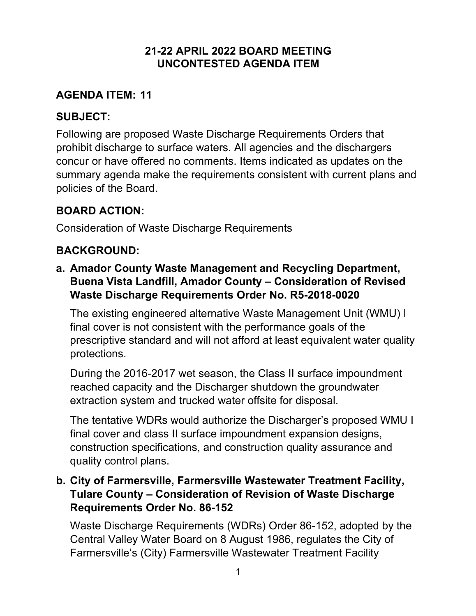#### **21-22 APRIL 2022 BOARD MEETING UNCONTESTED AGENDA ITEM**

### **AGENDA ITEM: 11**

### **SUBJECT:**

Following are proposed Waste Discharge Requirements Orders that prohibit discharge to surface waters. All agencies and the dischargers concur or have offered no comments. Items indicated as updates on the summary agenda make the requirements consistent with current plans and policies of the Board.

# **BOARD ACTION:**

Consideration of Waste Discharge Requirements

# **BACKGROUND:**

**a. Amador County Waste Management and Recycling Department, Buena Vista Landfill, Amador County – Consideration of Revised Waste Discharge Requirements Order No. R5-2018-0020**

The existing engineered alternative Waste Management Unit (WMU) I final cover is not consistent with the performance goals of the prescriptive standard and will not afford at least equivalent water quality protections.

During the 2016-2017 wet season, the Class II surface impoundment reached capacity and the Discharger shutdown the groundwater extraction system and trucked water offsite for disposal.

The tentative WDRs would authorize the Discharger's proposed WMU I final cover and class II surface impoundment expansion designs, construction specifications, and construction quality assurance and quality control plans.

### **b. City of Farmersville, Farmersville Wastewater Treatment Facility, Tulare County – Consideration of Revision of Waste Discharge Requirements Order No. 86-152**

Waste Discharge Requirements (WDRs) Order 86-152, adopted by the Central Valley Water Board on 8 August 1986, regulates the City of Farmersville's (City) Farmersville Wastewater Treatment Facility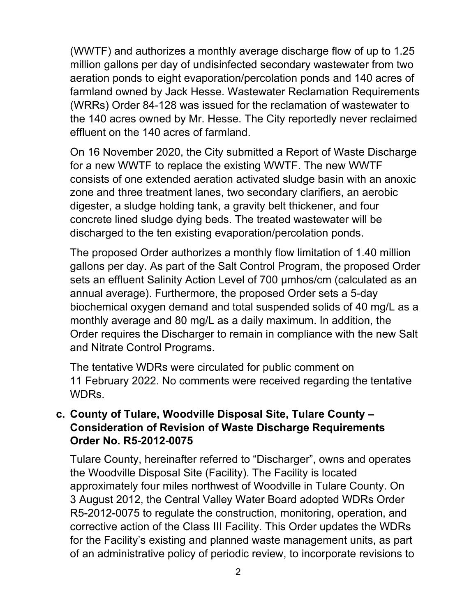(WWTF) and authorizes a monthly average discharge flow of up to 1.25 million gallons per day of undisinfected secondary wastewater from two aeration ponds to eight evaporation/percolation ponds and 140 acres of farmland owned by Jack Hesse. Wastewater Reclamation Requirements (WRRs) Order 84-128 was issued for the reclamation of wastewater to the 140 acres owned by Mr. Hesse. The City reportedly never reclaimed effluent on the 140 acres of farmland.

On 16 November 2020, the City submitted a Report of Waste Discharge for a new WWTF to replace the existing WWTF. The new WWTF consists of one extended aeration activated sludge basin with an anoxic zone and three treatment lanes, two secondary clarifiers, an aerobic digester, a sludge holding tank, a gravity belt thickener, and four concrete lined sludge dying beds. The treated wastewater will be discharged to the ten existing evaporation/percolation ponds.

The proposed Order authorizes a monthly flow limitation of 1.40 million gallons per day. As part of the Salt Control Program, the proposed Order sets an effluent Salinity Action Level of 700 µmhos/cm (calculated as an annual average). Furthermore, the proposed Order sets a 5-day biochemical oxygen demand and total suspended solids of 40 mg/L as a monthly average and 80 mg/L as a daily maximum. In addition, the Order requires the Discharger to remain in compliance with the new Salt and Nitrate Control Programs.

The tentative WDRs were circulated for public comment on 11 February 2022. No comments were received regarding the tentative WDRs.

#### **c. County of Tulare, Woodville Disposal Site, Tulare County – Consideration of Revision of Waste Discharge Requirements Order No. R5-2012-0075**

Tulare County, hereinafter referred to "Discharger", owns and operates the Woodville Disposal Site (Facility). The Facility is located approximately four miles northwest of Woodville in Tulare County. On 3 August 2012, the Central Valley Water Board adopted WDRs Order R5-2012-0075 to regulate the construction, monitoring, operation, and corrective action of the Class III Facility. This Order updates the WDRs for the Facility's existing and planned waste management units, as part of an administrative policy of periodic review, to incorporate revisions to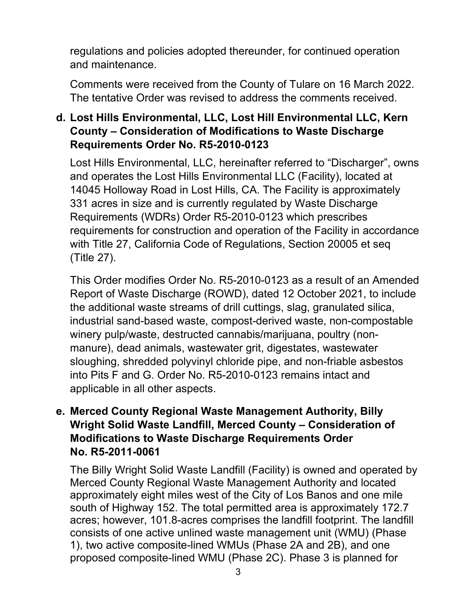regulations and policies adopted thereunder, for continued operation and maintenance.

Comments were received from the County of Tulare on 16 March 2022. The tentative Order was revised to address the comments received.

## **d. Lost Hills Environmental, LLC, Lost Hill Environmental LLC, Kern County – Consideration of Modifications to Waste Discharge Requirements Order No. R5-2010-0123**

Lost Hills Environmental, LLC, hereinafter referred to "Discharger", owns and operates the Lost Hills Environmental LLC (Facility), located at 14045 Holloway Road in Lost Hills, CA. The Facility is approximately 331 acres in size and is currently regulated by Waste Discharge Requirements (WDRs) Order R5-2010-0123 which prescribes requirements for construction and operation of the Facility in accordance with Title 27, California Code of Regulations, Section 20005 et seq (Title 27).

This Order modifies Order No. R5-2010-0123 as a result of an Amended Report of Waste Discharge (ROWD), dated 12 October 2021, to include the additional waste streams of drill cuttings, slag, granulated silica, industrial sand-based waste, compost-derived waste, non-compostable winery pulp/waste, destructed cannabis/marijuana, poultry (nonmanure), dead animals, wastewater grit, digestates, wastewater sloughing, shredded polyvinyl chloride pipe, and non-friable asbestos into Pits F and G. Order No. R5-2010-0123 remains intact and applicable in all other aspects.

### **e. Merced County Regional Waste Management Authority, Billy Wright Solid Waste Landfill, Merced County – Consideration of Modifications to Waste Discharge Requirements Order No. R5-2011-0061**

The Billy Wright Solid Waste Landfill (Facility) is owned and operated by Merced County Regional Waste Management Authority and located approximately eight miles west of the City of Los Banos and one mile south of Highway 152. The total permitted area is approximately 172.7 acres; however, 101.8-acres comprises the landfill footprint. The landfill consists of one active unlined waste management unit (WMU) (Phase 1), two active composite-lined WMUs (Phase 2A and 2B), and one proposed composite-lined WMU (Phase 2C). Phase 3 is planned for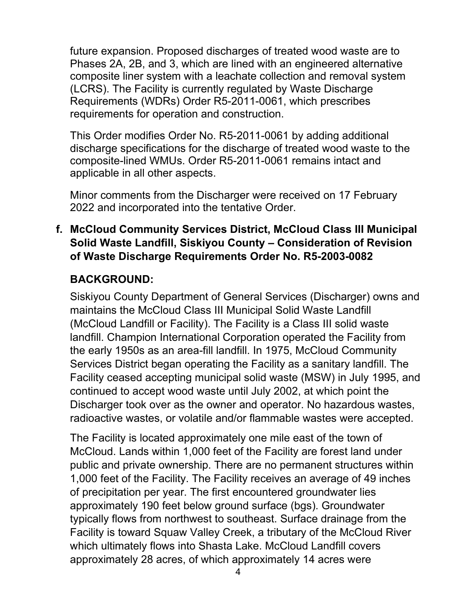future expansion. Proposed discharges of treated wood waste are to Phases 2A, 2B, and 3, which are lined with an engineered alternative composite liner system with a leachate collection and removal system (LCRS). The Facility is currently regulated by Waste Discharge Requirements (WDRs) Order R5-2011-0061, which prescribes requirements for operation and construction.

This Order modifies Order No. R5-2011-0061 by adding additional discharge specifications for the discharge of treated wood waste to the composite-lined WMUs. Order R5-2011-0061 remains intact and applicable in all other aspects.

Minor comments from the Discharger were received on 17 February 2022 and incorporated into the tentative Order.

#### **f. McCloud Community Services District, McCloud Class III Municipal Solid Waste Landfill, Siskiyou County – Consideration of Revision of Waste Discharge Requirements Order No. R5-2003-0082**

## **BACKGROUND:**

Siskiyou County Department of General Services (Discharger) owns and maintains the McCloud Class III Municipal Solid Waste Landfill (McCloud Landfill or Facility). The Facility is a Class III solid waste landfill. Champion International Corporation operated the Facility from the early 1950s as an area-fill landfill. In 1975, McCloud Community Services District began operating the Facility as a sanitary landfill. The Facility ceased accepting municipal solid waste (MSW) in July 1995, and continued to accept wood waste until July 2002, at which point the Discharger took over as the owner and operator. No hazardous wastes, radioactive wastes, or volatile and/or flammable wastes were accepted.

The Facility is located approximately one mile east of the town of McCloud. Lands within 1,000 feet of the Facility are forest land under public and private ownership. There are no permanent structures within 1,000 feet of the Facility. The Facility receives an average of 49 inches of precipitation per year. The first encountered groundwater lies approximately 190 feet below ground surface (bgs). Groundwater typically flows from northwest to southeast. Surface drainage from the Facility is toward Squaw Valley Creek, a tributary of the McCloud River which ultimately flows into Shasta Lake. McCloud Landfill covers approximately 28 acres, of which approximately 14 acres were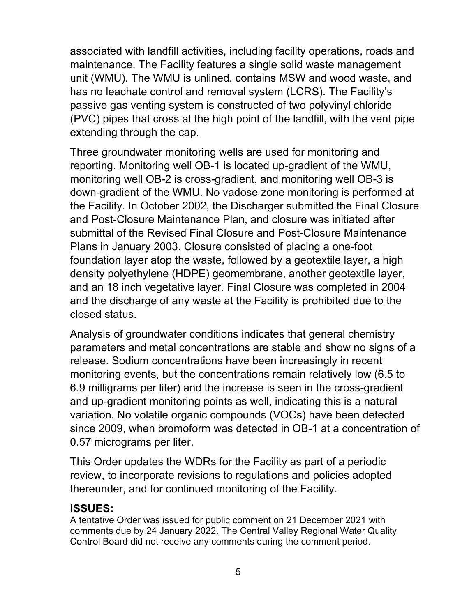associated with landfill activities, including facility operations, roads and maintenance. The Facility features a single solid waste management unit (WMU). The WMU is unlined, contains MSW and wood waste, and has no leachate control and removal system (LCRS). The Facility's passive gas venting system is constructed of two polyvinyl chloride (PVC) pipes that cross at the high point of the landfill, with the vent pipe extending through the cap.

Three groundwater monitoring wells are used for monitoring and reporting. Monitoring well OB-1 is located up-gradient of the WMU, monitoring well OB-2 is cross-gradient, and monitoring well OB-3 is down-gradient of the WMU. No vadose zone monitoring is performed at the Facility. In October 2002, the Discharger submitted the Final Closure and Post-Closure Maintenance Plan, and closure was initiated after submittal of the Revised Final Closure and Post-Closure Maintenance Plans in January 2003. Closure consisted of placing a one-foot foundation layer atop the waste, followed by a geotextile layer, a high density polyethylene (HDPE) geomembrane, another geotextile layer, and an 18 inch vegetative layer. Final Closure was completed in 2004 and the discharge of any waste at the Facility is prohibited due to the closed status.

Analysis of groundwater conditions indicates that general chemistry parameters and metal concentrations are stable and show no signs of a release. Sodium concentrations have been increasingly in recent monitoring events, but the concentrations remain relatively low (6.5 to 6.9 milligrams per liter) and the increase is seen in the cross-gradient and up-gradient monitoring points as well, indicating this is a natural variation. No volatile organic compounds (VOCs) have been detected since 2009, when bromoform was detected in OB-1 at a concentration of 0.57 micrograms per liter.

This Order updates the WDRs for the Facility as part of a periodic review, to incorporate revisions to regulations and policies adopted thereunder, and for continued monitoring of the Facility.

#### **ISSUES:**

A tentative Order was issued for public comment on 21 December 2021 with comments due by 24 January 2022. The Central Valley Regional Water Quality Control Board did not receive any comments during the comment period.